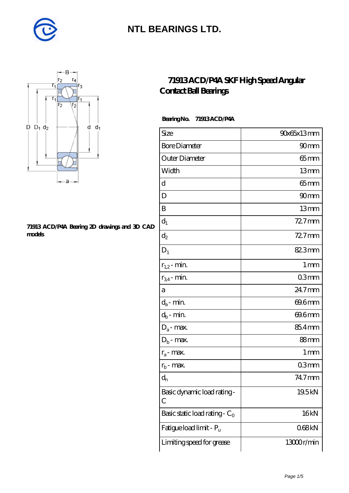



#### **[71913 ACD/P4A Bearing 2D drawings and 3D CAD](https://m.diabetesfriends.net/pic-590734.html) [models](https://m.diabetesfriends.net/pic-590734.html)**

#### **[71913 ACD/P4A SKF High Speed Angular](https://m.diabetesfriends.net/skf-bearing/71913-acd-p4a.html) [Contact Ball Bearings](https://m.diabetesfriends.net/skf-bearing/71913-acd-p4a.html)**

 **Bearing No. 71913 ACD/P4A**

| Size                             | 90x65x13mm        |
|----------------------------------|-------------------|
| <b>Bore Diameter</b>             | 90 <sub>mm</sub>  |
| Outer Diameter                   | 65mm              |
| Width                            | 13mm              |
| d                                | $65$ mm           |
| D                                | 90 <sub>mm</sub>  |
| B                                | 13mm              |
| $d_1$                            | $727$ mm          |
| $\mathrm{d}_2$                   | $727$ mm          |
| $D_1$                            | 82.3mm            |
| $r_{1,2}$ - min.                 | $1 \,\mathrm{mm}$ |
| $r_{34}$ - min.                  | 03mm              |
| а                                | 24.7mm            |
| $d_a$ - min.                     | 69.6mm            |
| $d_b$ - min.                     | 69.6mm            |
| $D_a$ - max.                     | 85.4mm            |
| $D_b$ - max.                     | $88 \text{mm}$    |
| $r_a$ - max.                     | 1 mm              |
| $r_{b}$ - max.                   | 03mm              |
| $d_{n}$                          | 74.7mm            |
| Basic dynamic load rating-<br>С  | 19.5kN            |
| Basic static load rating - $C_0$ | 16kN              |
| Fatigue load limit - Pu          | 068kN             |
| Limiting speed for grease        | 13000r/min        |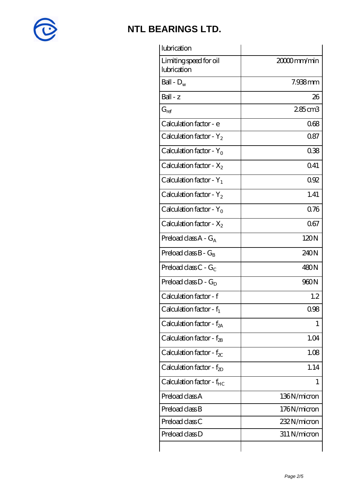

| lubrication                           |              |
|---------------------------------------|--------------|
| Limiting speed for oil<br>lubrication | 20000mm/min  |
| Ball - $D_w$                          | 7.938mm      |
| $Ball - z$                            | 26           |
| $G_{ref}$                             | 285cm3       |
| Calculation factor - e                | 068          |
| Calculation factor - $Y_2$            | 0.87         |
| Calculation factor - $Y_0$            | 038          |
| Calculation factor - $X_2$            | 041          |
| Calculation factor - $Y_1$            | 0.92         |
| Calculation factor - $Y_2$            | 1.41         |
| Calculation factor - $Y_0$            | 0.76         |
| Calculation factor - $X_2$            | 067          |
| Preload class $A - G_A$               | 120N         |
| Preload class $B - G_B$               | 240N         |
| Preload class C - $G_C$               | 480N         |
| Preload class $D - G_D$               | 960N         |
| Calculation factor - f                | 1.2          |
| Calculation factor - $f_1$            | 0.98         |
| Calculation factor - f <sub>2A</sub>  | 1            |
| Calculation factor - $f_{2B}$         | 1.04         |
| Calculation factor - $f_{\chi}$       | 1.08         |
| Calculation factor - $f_{2D}$         | 1.14         |
| Calculation factor - $f_{HC}$         | T            |
| Preload class A                       | 136N/micron  |
| Preload class B                       | 176N/micron  |
| Preload class C                       | 232N/micron  |
| Preload class D                       | 311 N/micron |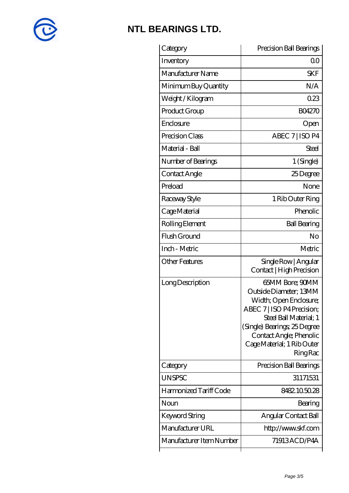

| Category                 | Precision Ball Bearings                                                                                                                                                                                                                        |
|--------------------------|------------------------------------------------------------------------------------------------------------------------------------------------------------------------------------------------------------------------------------------------|
| Inventory                | 0 <sup>0</sup>                                                                                                                                                                                                                                 |
| Manufacturer Name        | <b>SKF</b>                                                                                                                                                                                                                                     |
| Minimum Buy Quantity     | N/A                                                                                                                                                                                                                                            |
| Weight / Kilogram        | 023                                                                                                                                                                                                                                            |
| Product Group            | <b>BO4270</b>                                                                                                                                                                                                                                  |
| Enclosure                | Open                                                                                                                                                                                                                                           |
| Precision Class          | ABEC 7   ISO P4                                                                                                                                                                                                                                |
| Material - Ball          | Steel                                                                                                                                                                                                                                          |
| Number of Bearings       | 1 (Single)                                                                                                                                                                                                                                     |
| Contact Angle            | 25Degree                                                                                                                                                                                                                                       |
| Preload                  | None                                                                                                                                                                                                                                           |
| Raceway Style            | 1 Rib Outer Ring                                                                                                                                                                                                                               |
| Cage Material            | Phenolic                                                                                                                                                                                                                                       |
| Rolling Element          | <b>Ball Bearing</b>                                                                                                                                                                                                                            |
| Flush Ground             | No                                                                                                                                                                                                                                             |
| Inch - Metric            | Metric                                                                                                                                                                                                                                         |
| <b>Other Features</b>    | Single Row   Angular<br>Contact   High Precision                                                                                                                                                                                               |
| Long Description         | <b>65MM Bore; 90MM</b><br>Outside Diameter; 13MM<br>Width; Open Enclosure;<br>ABEC 7   ISO P4 Precision;<br>Steel Ball Material; 1<br>(Single) Bearings, 25 Degree<br>Contact Angle; Phenolic<br>Cage Material; 1 Rib Outer<br><b>Ring Rac</b> |
| Category                 | Precision Ball Bearings                                                                                                                                                                                                                        |
| <b>UNSPSC</b>            | 31171531                                                                                                                                                                                                                                       |
| Harmonized Tariff Code   | 8482105028                                                                                                                                                                                                                                     |
| Noun                     | Bearing                                                                                                                                                                                                                                        |
| Keyword String           | Angular Contact Ball                                                                                                                                                                                                                           |
| Manufacturer URL         | http://www.skf.com                                                                                                                                                                                                                             |
| Manufacturer Item Number | 71913ACD/P4A                                                                                                                                                                                                                                   |
|                          |                                                                                                                                                                                                                                                |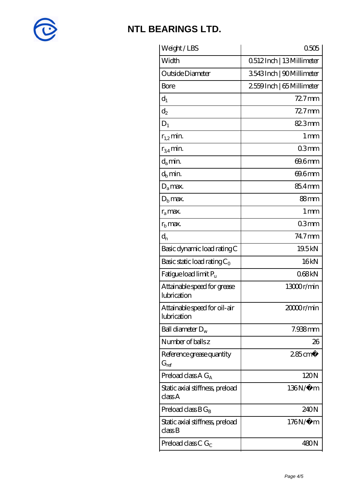

| Weight/LBS                                                    | 0505                     |
|---------------------------------------------------------------|--------------------------|
| Width                                                         | Q512Inch   13Millimeter  |
| Outside Diameter                                              | 3543Inch   90Millimeter  |
| Bore                                                          | 2559Inch   65 Millimeter |
| $d_1$                                                         | $727$ mm                 |
| $d_2$                                                         | $727$ mm                 |
| $D_1$                                                         | 823mm                    |
| $r_{1,2}$ min.                                                | $1 \,\mathrm{mm}$        |
| $r_{34}$ min.                                                 | 03mm                     |
| $d_a$ min.                                                    | 69.6mm                   |
| $d_h$ min.                                                    | 69.6mm                   |
| $D_a$ max.                                                    | 85.4mm                   |
| $Db$ max.                                                     | 88mm                     |
| $r_a$ max.                                                    | 1 <sub>mm</sub>          |
| $r_{\rm b}$ max.                                              | 03 <sub>mm</sub>         |
| $d_{n}$                                                       | $74.7$ mm                |
| Basic dynamic load rating C                                   | 19.5kN                   |
| Basic static load rating $C_0$                                | 16kN                     |
| Fatigue load limit P <sub>u</sub>                             | 068kN                    |
| Attainable speed for grease<br>lubrication                    | 13000r/min               |
| Attainable speed for oil-air<br>lubrication                   | 20000r/min               |
| Ball diameter $D_w$                                           | 7.938mm                  |
| Number of balls z                                             | 26                       |
| Reference grease quantity<br>$G_{\mathrm{ref}}$               | $285$ cm <sup>3</sup>    |
| Preload class A $G_A$                                         | 120N                     |
| Static axial stiffness, preload<br>classA                     | 136N/μ m                 |
| Preload class $BG_B$                                          | 240N                     |
| Static axial stiffness, preload<br>$\mathrm{class}\mathrm{B}$ | $176N/\mu$ m             |
| Preload class C $G_C$                                         | 480N                     |
|                                                               |                          |